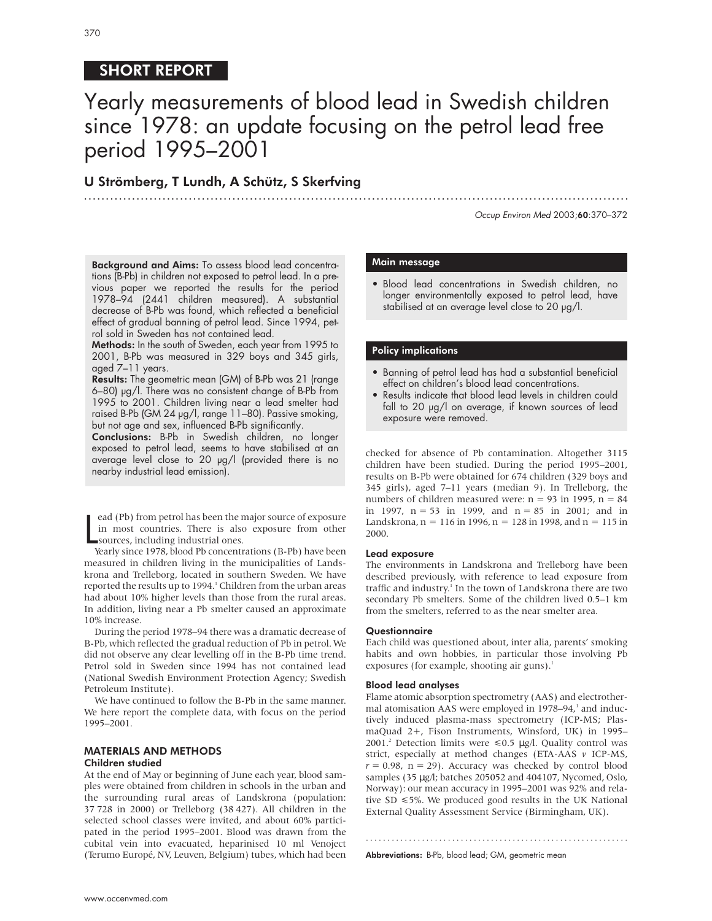# SHORT REPORT

# Yearly measurements of blood lead in Swedish children since 1978: an update focusing on the petrol lead free period 1995–2001

.............................................................................................................................

## U Strömberg, T Lundh, A Schütz, S Skerfving

Occup Environ Med 2003;60:370–372

Background and Aims: To assess blood lead concentrations (B-Pb) in children not exposed to petrol lead. In a previous paper we reported the results for the period 1978–94 (2441 children measured). A substantial decrease of B-Pb was found, which reflected a beneficial effect of gradual banning of petrol lead. Since 1994, petrol sold in Sweden has not contained lead.

Methods: In the south of Sweden, each year from 1995 to 2001, B-Pb was measured in 329 boys and 345 girls, aged 7–11 years.

Results: The geometric mean (GM) of B-Pb was 21 (range 6–80) µg/l. There was no consistent change of B-Pb from 1995 to 2001. Children living near a lead smelter had raised B-Pb (GM 24 µg/l, range 11–80). Passive smoking, but not age and sex, influenced B-Pb significantly.

Conclusions: B-Pb in Swedish children, no longer exposed to petrol lead, seems to have stabilised at an average level close to 20 µg/l (provided there is no nearby industrial lead emission).

 $\mathsf{L}$ ead (Pb) from petrol has been the major source of exposure in most countries. There is also exposure from other sources, including industrial ones.

Yearly since 1978, blood Pb concentrations (B-Pb) have been measured in children living in the municipalities of Landskrona and Trelleborg, located in southern Sweden. We have reported the results up to 1994.<sup>1</sup> Children from the urban areas had about 10% higher levels than those from the rural areas. In addition, living near a Pb smelter caused an approximate 10% increase.

During the period 1978–94 there was a dramatic decrease of B-Pb, which reflected the gradual reduction of Pb in petrol. We did not observe any clear levelling off in the B-Pb time trend. Petrol sold in Sweden since 1994 has not contained lead (National Swedish Environment Protection Agency; Swedish Petroleum Institute).

We have continued to follow the B-Pb in the same manner. We here report the complete data, with focus on the period 1995–2001.

## MATERIALS AND METHODS

#### Children studied

At the end of May or beginning of June each year, blood samples were obtained from children in schools in the urban and the surrounding rural areas of Landskrona (population: 37 728 in 2000) or Trelleborg (38 427). All children in the selected school classes were invited, and about 60% participated in the period 1995–2001. Blood was drawn from the cubital vein into evacuated, heparinised 10 ml Venoject (Terumo Europé, NV, Leuven, Belgium) tubes, which had been

#### Main message

• Blood lead concentrations in Swedish children, no longer environmentally exposed to petrol lead, have stabilised at an average level close to 20  $\mu$ g/l.

## Policy implications

- Banning of petrol lead has had a substantial beneficial effect on children's blood lead concentrations.
- Results indicate that blood lead levels in children could fall to 20 µg/l on average, if known sources of lead exposure were removed.

checked for absence of Pb contamination. Altogether 3115 children have been studied. During the period 1995–2001, results on B-Pb were obtained for 674 children (329 boys and 345 girls), aged 7–11 years (median 9). In Trelleborg, the numbers of children measured were:  $n = 93$  in 1995,  $n = 84$ in 1997, n = 53 in 1999, and n = 85 in 2001; and in Landskrona,  $n = 116$  in 1996,  $n = 128$  in 1998, and  $n = 115$  in 2000.

#### Lead exposure

The environments in Landskrona and Trelleborg have been described previously, with reference to lead exposure from traffic and industry.<sup>1</sup> In the town of Landskrona there are two secondary Pb smelters. Some of the children lived 0.5–1 km from the smelters, referred to as the near smelter area.

#### **Questionnaire**

Each child was questioned about, inter alia, parents' smoking habits and own hobbies, in particular those involving Pb exposures (for example, shooting air guns).<sup>1</sup>

#### Blood lead analyses

Flame atomic absorption spectrometry (AAS) and electrothermal atomisation AAS were employed in 1978–94,<sup>1</sup> and inductively induced plasma-mass spectrometry (ICP-MS; PlasmaQuad 2+, Fison Instruments, Winsford, UK) in 1995– 2001.<sup>2</sup> Detection limits were  $\leq 0.5$  µg/l. Quality control was strict, especially at method changes (ETA-AAS *v* ICP-MS,  $r = 0.98$ ,  $n = 29$ ). Accuracy was checked by control blood samples (35 µg/l; batches 205052 and 404107, Nycomed, Oslo, Norway): our mean accuracy in 1995–2001 was 92% and relative SD  $\leq 5\%$ . We produced good results in the UK National External Quality Assessment Service (Birmingham, UK).

.............................................................

Abbreviations: B-Pb, blood lead; GM, geometric mean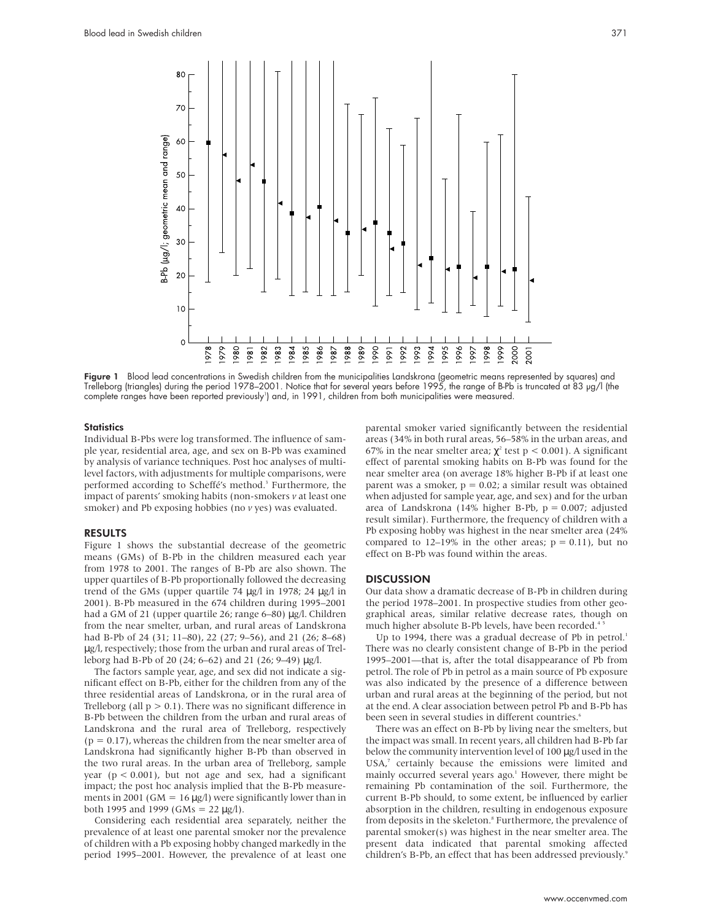

Figure 1 Blood lead concentrations in Swedish children from the municipalities Landskrona (geometric means represented by squares) and Trelleborg (triangles) during the period 1978–2001. Notice that for several years before 1995, the range of B-Pb is truncated at 83 µg/l (the complete ranges have been reported previously') and, in 1991, children from both municipalities were measured.

#### **Statistics**

Individual B-Pbs were log transformed. The influence of sample year, residential area, age, and sex on B-Pb was examined by analysis of variance techniques. Post hoc analyses of multilevel factors, with adjustments for multiple comparisons, were performed according to Scheffé's method.<sup>3</sup> Furthermore, the impact of parents' smoking habits (non-smokers *v* at least one smoker) and Pb exposing hobbies (no  $\nu$  yes) was evaluated.

#### RESULTS

Figure 1 shows the substantial decrease of the geometric means (GMs) of B-Pb in the children measured each year from 1978 to 2001. The ranges of B-Pb are also shown. The upper quartiles of B-Pb proportionally followed the decreasing trend of the GMs (upper quartile 74 µg/l in 1978; 24 µg/l in 2001). B-Pb measured in the 674 children during 1995–2001 had a GM of 21 (upper quartile 26; range 6–80) µg/l. Children from the near smelter, urban, and rural areas of Landskrona had B-Pb of 24 (31; 11–80), 22 (27; 9–56), and 21 (26; 8–68) µg/l, respectively; those from the urban and rural areas of Trelleborg had B-Pb of 20 (24; 6–62) and 21 (26; 9–49) µg/l.

The factors sample year, age, and sex did not indicate a significant effect on B-Pb, either for the children from any of the three residential areas of Landskrona, or in the rural area of Trelleborg (all  $p > 0.1$ ). There was no significant difference in B-Pb between the children from the urban and rural areas of Landskrona and the rural area of Trelleborg, respectively  $(p = 0.17)$ , whereas the children from the near smelter area of Landskrona had significantly higher B-Pb than observed in the two rural areas. In the urban area of Trelleborg, sample year ( $p < 0.001$ ), but not age and sex, had a significant impact; the post hoc analysis implied that the B-Pb measurements in 2001 (GM =  $16 \mu g/l$ ) were significantly lower than in both 1995 and 1999 (GMs =  $22 \mu g/l$ ).

Considering each residential area separately, neither the prevalence of at least one parental smoker nor the prevalence of children with a Pb exposing hobby changed markedly in the period 1995–2001. However, the prevalence of at least one

parental smoker varied significantly between the residential areas (34% in both rural areas, 56–58% in the urban areas, and 67% in the near smelter area;  $\chi^2$  test p < 0.001). A significant effect of parental smoking habits on B-Pb was found for the near smelter area (on average 18% higher B-Pb if at least one parent was a smoker,  $p = 0.02$ ; a similar result was obtained when adjusted for sample year, age, and sex) and for the urban area of Landskrona (14% higher B-Pb,  $p = 0.007$ ; adjusted result similar). Furthermore, the frequency of children with a Pb exposing hobby was highest in the near smelter area (24% compared to 12–19% in the other areas;  $p = 0.11$ ), but no effect on B-Pb was found within the areas.

#### **DISCUSSION**

Our data show a dramatic decrease of B-Pb in children during the period 1978–2001. In prospective studies from other geographical areas, similar relative decrease rates, though on much higher absolute B-Pb levels, have been recorded.<sup>4</sup>

Up to 1994, there was a gradual decrease of Pb in petrol.<sup>1</sup> There was no clearly consistent change of B-Pb in the period 1995–2001—that is, after the total disappearance of Pb from petrol. The role of Pb in petrol as a main source of Pb exposure was also indicated by the presence of a difference between urban and rural areas at the beginning of the period, but not at the end. A clear association between petrol Pb and B-Pb has been seen in several studies in different countries.<sup>6</sup>

There was an effect on B-Pb by living near the smelters, but the impact was small. In recent years, all children had B-Pb far below the community intervention level of 100  $\mu$ g/l used in the USA,<sup>7</sup> certainly because the emissions were limited and mainly occurred several years ago.<sup>1</sup> However, there might be remaining Pb contamination of the soil. Furthermore, the current B-Pb should, to some extent, be influenced by earlier absorption in the children, resulting in endogenous exposure from deposits in the skeleton.<sup>8</sup> Furthermore, the prevalence of parental smoker(s) was highest in the near smelter area. The present data indicated that parental smoking affected children's B-Pb, an effect that has been addressed previously.<sup>9</sup>